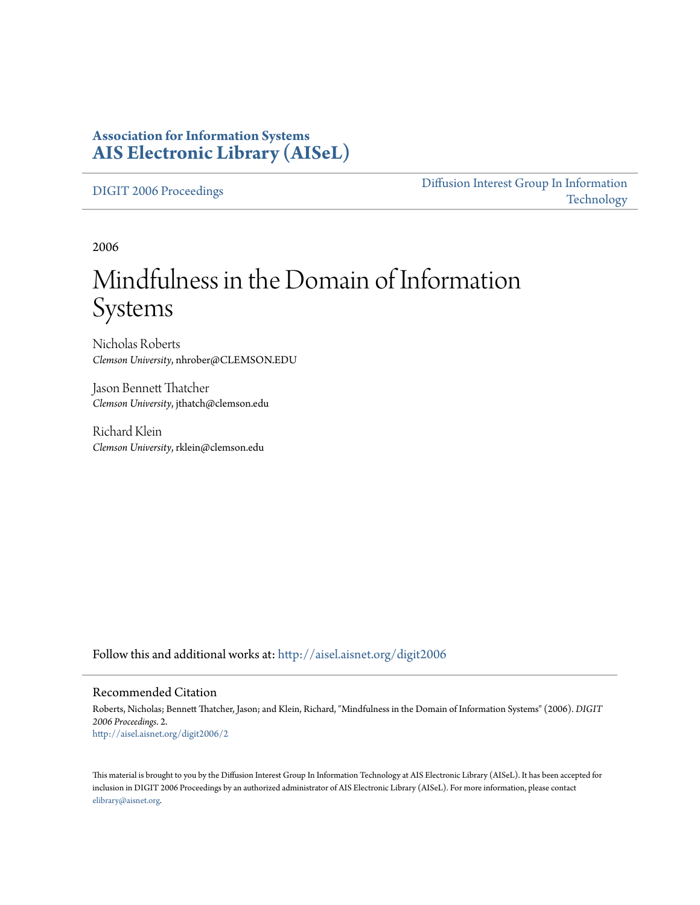# **Association for Information Systems [AIS Electronic Library \(AISeL\)](http://aisel.aisnet.org?utm_source=aisel.aisnet.org%2Fdigit2006%2F2&utm_medium=PDF&utm_campaign=PDFCoverPages)**

[DIGIT 2006 Proceedings](http://aisel.aisnet.org/digit2006?utm_source=aisel.aisnet.org%2Fdigit2006%2F2&utm_medium=PDF&utm_campaign=PDFCoverPages)

[Diffusion Interest Group In Information](http://aisel.aisnet.org/digit?utm_source=aisel.aisnet.org%2Fdigit2006%2F2&utm_medium=PDF&utm_campaign=PDFCoverPages) [Technology](http://aisel.aisnet.org/digit?utm_source=aisel.aisnet.org%2Fdigit2006%2F2&utm_medium=PDF&utm_campaign=PDFCoverPages)

2006

# Mindfulness in the Domain of Information Systems

Nicholas Roberts *Clemson University*, nhrober@CLEMSON.EDU

Jason Bennett Thatcher *Clemson University*, jthatch@clemson.edu

Richard Klein *Clemson University*, rklein@clemson.edu

Follow this and additional works at: [http://aisel.aisnet.org/digit2006](http://aisel.aisnet.org/digit2006?utm_source=aisel.aisnet.org%2Fdigit2006%2F2&utm_medium=PDF&utm_campaign=PDFCoverPages)

#### Recommended Citation

Roberts, Nicholas; Bennett Thatcher, Jason; and Klein, Richard, "Mindfulness in the Domain of Information Systems" (2006). *DIGIT 2006 Proceedings*. 2. [http://aisel.aisnet.org/digit2006/2](http://aisel.aisnet.org/digit2006/2?utm_source=aisel.aisnet.org%2Fdigit2006%2F2&utm_medium=PDF&utm_campaign=PDFCoverPages)

This material is brought to you by the Diffusion Interest Group In Information Technology at AIS Electronic Library (AISeL). It has been accepted for inclusion in DIGIT 2006 Proceedings by an authorized administrator of AIS Electronic Library (AISeL). For more information, please contact [elibrary@aisnet.org.](mailto:elibrary@aisnet.org%3E)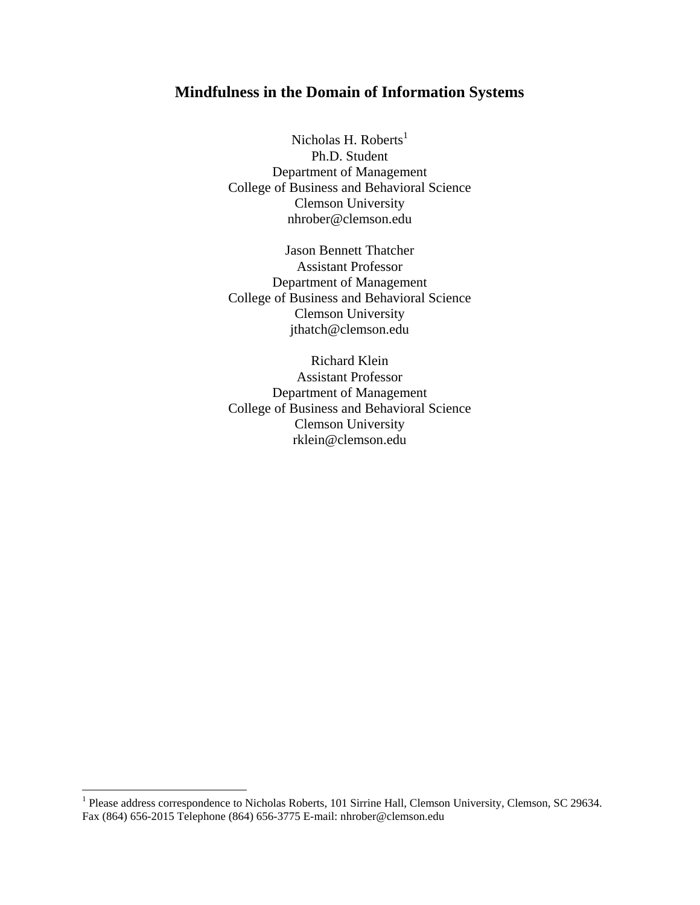# **Mindfulness in the Domain of Information Systems**

Nicholas H. Roberts<sup>[1](#page-1-0)</sup> Ph.D. Student Department of Management College of Business and Behavioral Science Clemson University nhrober@clemson.edu

Jason Bennett Thatcher Assistant Professor Department of Management College of Business and Behavioral Science Clemson University jthatch@clemson.edu

Richard Klein Assistant Professor Department of Management College of Business and Behavioral Science Clemson University rklein@clemson.edu

<span id="page-1-0"></span><sup>1&</sup>lt;br><sup>1</sup> Please address correspondence to Nicholas Roberts, 101 Sirrine Hall, Clemson University, Clemson, SC 29634. Fax (864) 656-2015 Telephone (864) 656-3775 E-mail: nhrober@clemson.edu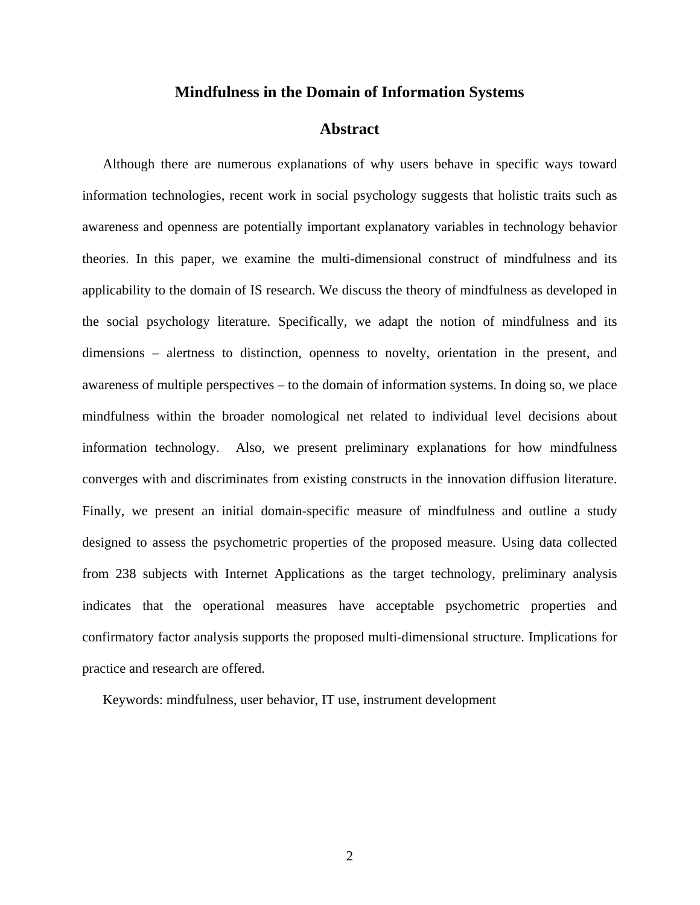# **Mindfulness in the Domain of Information Systems**

## **Abstract**

Although there are numerous explanations of why users behave in specific ways toward information technologies, recent work in social psychology suggests that holistic traits such as awareness and openness are potentially important explanatory variables in technology behavior theories. In this paper, we examine the multi-dimensional construct of mindfulness and its applicability to the domain of IS research. We discuss the theory of mindfulness as developed in the social psychology literature. Specifically, we adapt the notion of mindfulness and its dimensions – alertness to distinction, openness to novelty, orientation in the present, and awareness of multiple perspectives – to the domain of information systems. In doing so, we place mindfulness within the broader nomological net related to individual level decisions about information technology. Also, we present preliminary explanations for how mindfulness converges with and discriminates from existing constructs in the innovation diffusion literature. Finally, we present an initial domain-specific measure of mindfulness and outline a study designed to assess the psychometric properties of the proposed measure. Using data collected from 238 subjects with Internet Applications as the target technology, preliminary analysis indicates that the operational measures have acceptable psychometric properties and confirmatory factor analysis supports the proposed multi-dimensional structure. Implications for practice and research are offered.

Keywords: mindfulness, user behavior, IT use, instrument development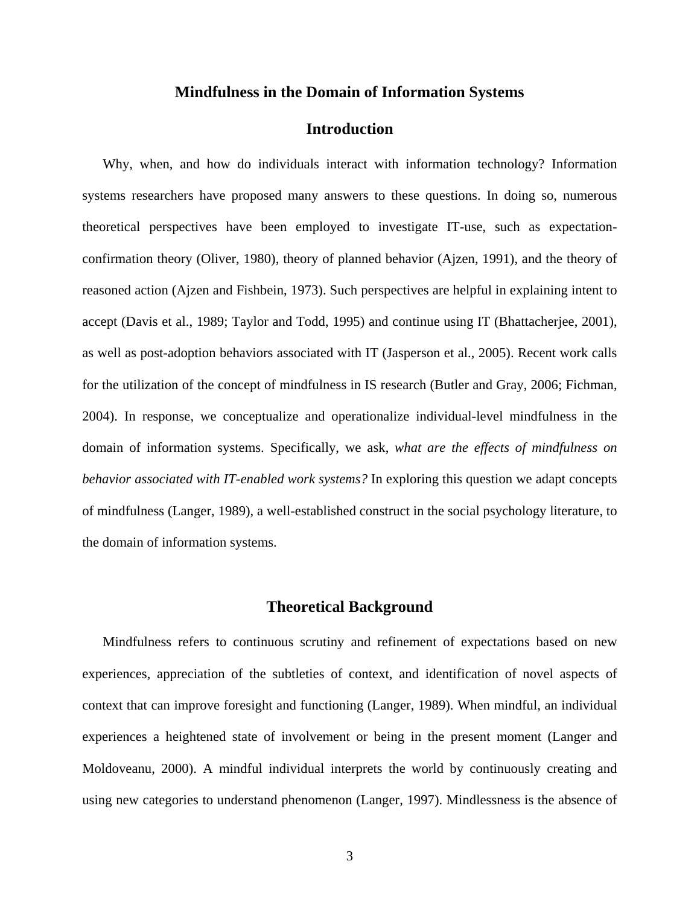#### **Mindfulness in the Domain of Information Systems**

## **Introduction**

Why, when, and how do individuals interact with information technology? Information systems researchers have proposed many answers to these questions. In doing so, numerous theoretical perspectives have been employed to investigate IT-use, such as expectationconfirmation theory (Oliver, 1980), theory of planned behavior (Ajzen, 1991), and the theory of reasoned action (Ajzen and Fishbein, 1973). Such perspectives are helpful in explaining intent to accept (Davis et al., 1989; Taylor and Todd, 1995) and continue using IT (Bhattacherjee, 2001), as well as post-adoption behaviors associated with IT (Jasperson et al., 2005). Recent work calls for the utilization of the concept of mindfulness in IS research (Butler and Gray, 2006; Fichman, 2004). In response, we conceptualize and operationalize individual-level mindfulness in the domain of information systems. Specifically, we ask, *what are the effects of mindfulness on behavior associated with IT-enabled work systems?* In exploring this question we adapt concepts of mindfulness (Langer, 1989), a well-established construct in the social psychology literature, to the domain of information systems.

#### **Theoretical Background**

Mindfulness refers to continuous scrutiny and refinement of expectations based on new experiences, appreciation of the subtleties of context, and identification of novel aspects of context that can improve foresight and functioning (Langer, 1989). When mindful, an individual experiences a heightened state of involvement or being in the present moment (Langer and Moldoveanu, 2000). A mindful individual interprets the world by continuously creating and using new categories to understand phenomenon (Langer, 1997). Mindlessness is the absence of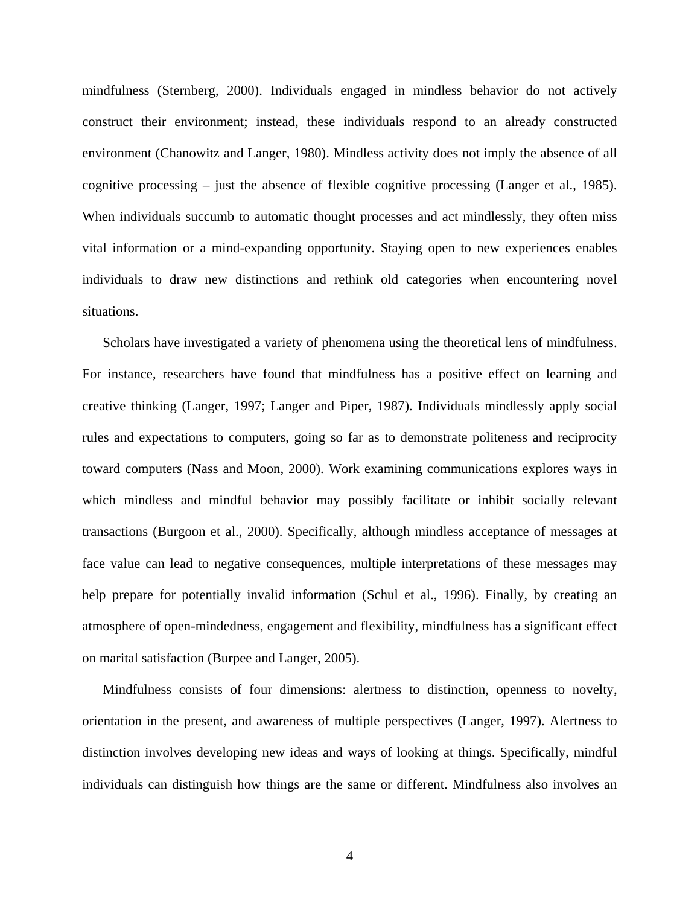mindfulness (Sternberg, 2000). Individuals engaged in mindless behavior do not actively construct their environment; instead, these individuals respond to an already constructed environment (Chanowitz and Langer, 1980). Mindless activity does not imply the absence of all cognitive processing – just the absence of flexible cognitive processing (Langer et al., 1985). When individuals succumb to automatic thought processes and act mindlessly, they often miss vital information or a mind-expanding opportunity. Staying open to new experiences enables individuals to draw new distinctions and rethink old categories when encountering novel situations.

Scholars have investigated a variety of phenomena using the theoretical lens of mindfulness. For instance, researchers have found that mindfulness has a positive effect on learning and creative thinking (Langer, 1997; Langer and Piper, 1987). Individuals mindlessly apply social rules and expectations to computers, going so far as to demonstrate politeness and reciprocity toward computers (Nass and Moon, 2000). Work examining communications explores ways in which mindless and mindful behavior may possibly facilitate or inhibit socially relevant transactions (Burgoon et al., 2000). Specifically, although mindless acceptance of messages at face value can lead to negative consequences, multiple interpretations of these messages may help prepare for potentially invalid information (Schul et al., 1996). Finally, by creating an atmosphere of open-mindedness, engagement and flexibility, mindfulness has a significant effect on marital satisfaction (Burpee and Langer, 2005).

Mindfulness consists of four dimensions: alertness to distinction, openness to novelty, orientation in the present, and awareness of multiple perspectives (Langer, 1997). Alertness to distinction involves developing new ideas and ways of looking at things. Specifically, mindful individuals can distinguish how things are the same or different. Mindfulness also involves an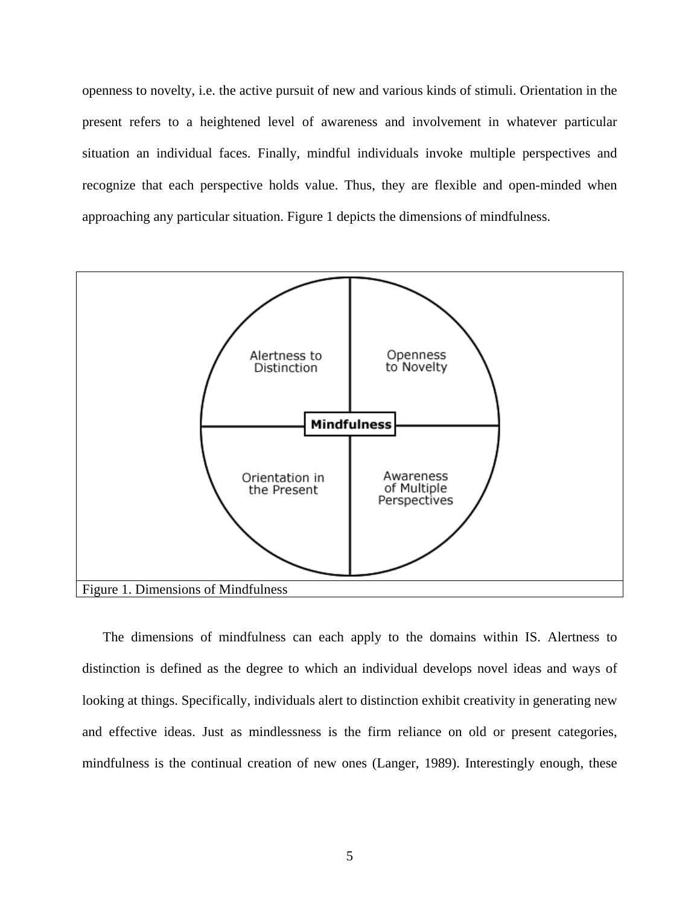openness to novelty, i.e. the active pursuit of new and various kinds of stimuli. Orientation in the present refers to a heightened level of awareness and involvement in whatever particular situation an individual faces. Finally, mindful individuals invoke multiple perspectives and recognize that each perspective holds value. Thus, they are flexible and open-minded when approaching any particular situation. Figure 1 depicts the dimensions of mindfulness.



The dimensions of mindfulness can each apply to the domains within IS. Alertness to distinction is defined as the degree to which an individual develops novel ideas and ways of looking at things. Specifically, individuals alert to distinction exhibit creativity in generating new and effective ideas. Just as mindlessness is the firm reliance on old or present categories, mindfulness is the continual creation of new ones (Langer, 1989). Interestingly enough, these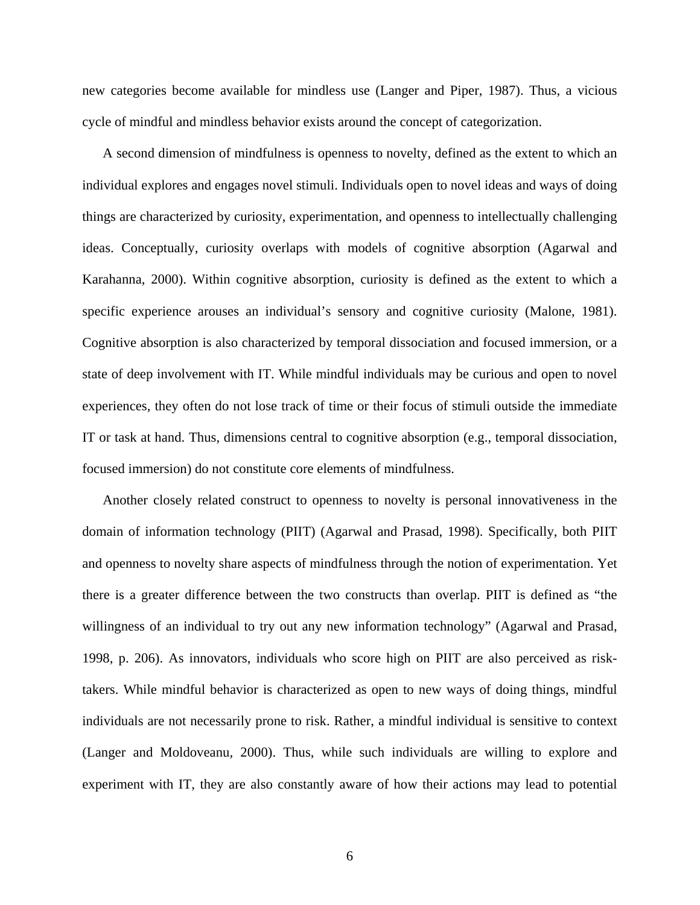new categories become available for mindless use (Langer and Piper, 1987). Thus, a vicious cycle of mindful and mindless behavior exists around the concept of categorization.

A second dimension of mindfulness is openness to novelty, defined as the extent to which an individual explores and engages novel stimuli. Individuals open to novel ideas and ways of doing things are characterized by curiosity, experimentation, and openness to intellectually challenging ideas. Conceptually, curiosity overlaps with models of cognitive absorption (Agarwal and Karahanna, 2000). Within cognitive absorption, curiosity is defined as the extent to which a specific experience arouses an individual's sensory and cognitive curiosity (Malone, 1981). Cognitive absorption is also characterized by temporal dissociation and focused immersion, or a state of deep involvement with IT. While mindful individuals may be curious and open to novel experiences, they often do not lose track of time or their focus of stimuli outside the immediate IT or task at hand. Thus, dimensions central to cognitive absorption (e.g., temporal dissociation, focused immersion) do not constitute core elements of mindfulness.

Another closely related construct to openness to novelty is personal innovativeness in the domain of information technology (PIIT) (Agarwal and Prasad, 1998). Specifically, both PIIT and openness to novelty share aspects of mindfulness through the notion of experimentation. Yet there is a greater difference between the two constructs than overlap. PIIT is defined as "the willingness of an individual to try out any new information technology" (Agarwal and Prasad, 1998, p. 206). As innovators, individuals who score high on PIIT are also perceived as risktakers. While mindful behavior is characterized as open to new ways of doing things, mindful individuals are not necessarily prone to risk. Rather, a mindful individual is sensitive to context (Langer and Moldoveanu, 2000). Thus, while such individuals are willing to explore and experiment with IT, they are also constantly aware of how their actions may lead to potential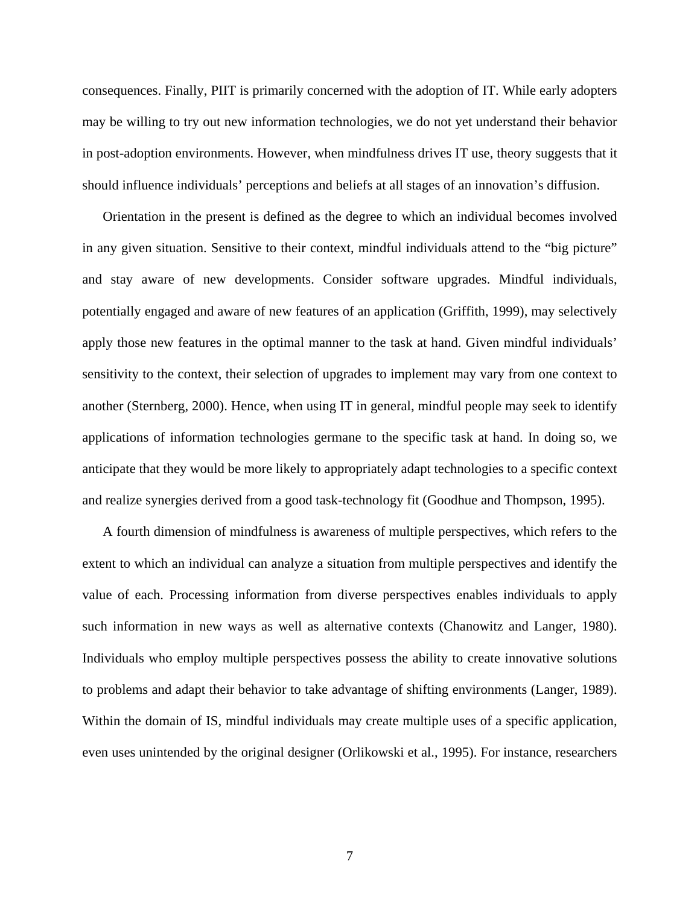consequences. Finally, PIIT is primarily concerned with the adoption of IT. While early adopters may be willing to try out new information technologies, we do not yet understand their behavior in post-adoption environments. However, when mindfulness drives IT use, theory suggests that it should influence individuals' perceptions and beliefs at all stages of an innovation's diffusion.

Orientation in the present is defined as the degree to which an individual becomes involved in any given situation. Sensitive to their context, mindful individuals attend to the "big picture" and stay aware of new developments. Consider software upgrades. Mindful individuals, potentially engaged and aware of new features of an application (Griffith, 1999), may selectively apply those new features in the optimal manner to the task at hand. Given mindful individuals' sensitivity to the context, their selection of upgrades to implement may vary from one context to another (Sternberg, 2000). Hence, when using IT in general, mindful people may seek to identify applications of information technologies germane to the specific task at hand. In doing so, we anticipate that they would be more likely to appropriately adapt technologies to a specific context and realize synergies derived from a good task-technology fit (Goodhue and Thompson, 1995).

A fourth dimension of mindfulness is awareness of multiple perspectives, which refers to the extent to which an individual can analyze a situation from multiple perspectives and identify the value of each. Processing information from diverse perspectives enables individuals to apply such information in new ways as well as alternative contexts (Chanowitz and Langer, 1980). Individuals who employ multiple perspectives possess the ability to create innovative solutions to problems and adapt their behavior to take advantage of shifting environments (Langer, 1989). Within the domain of IS, mindful individuals may create multiple uses of a specific application, even uses unintended by the original designer (Orlikowski et al., 1995). For instance, researchers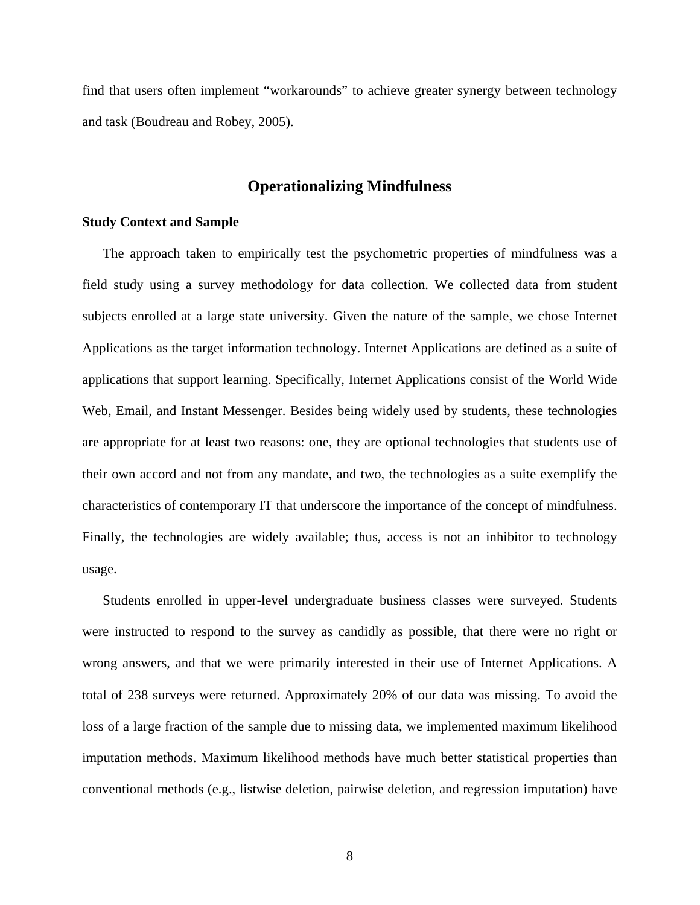find that users often implement "workarounds" to achieve greater synergy between technology and task (Boudreau and Robey, 2005).

## **Operationalizing Mindfulness**

#### **Study Context and Sample**

The approach taken to empirically test the psychometric properties of mindfulness was a field study using a survey methodology for data collection. We collected data from student subjects enrolled at a large state university. Given the nature of the sample, we chose Internet Applications as the target information technology. Internet Applications are defined as a suite of applications that support learning. Specifically, Internet Applications consist of the World Wide Web, Email, and Instant Messenger. Besides being widely used by students, these technologies are appropriate for at least two reasons: one, they are optional technologies that students use of their own accord and not from any mandate, and two, the technologies as a suite exemplify the characteristics of contemporary IT that underscore the importance of the concept of mindfulness. Finally, the technologies are widely available; thus, access is not an inhibitor to technology usage.

Students enrolled in upper-level undergraduate business classes were surveyed. Students were instructed to respond to the survey as candidly as possible, that there were no right or wrong answers, and that we were primarily interested in their use of Internet Applications. A total of 238 surveys were returned. Approximately 20% of our data was missing. To avoid the loss of a large fraction of the sample due to missing data, we implemented maximum likelihood imputation methods. Maximum likelihood methods have much better statistical properties than conventional methods (e.g., listwise deletion, pairwise deletion, and regression imputation) have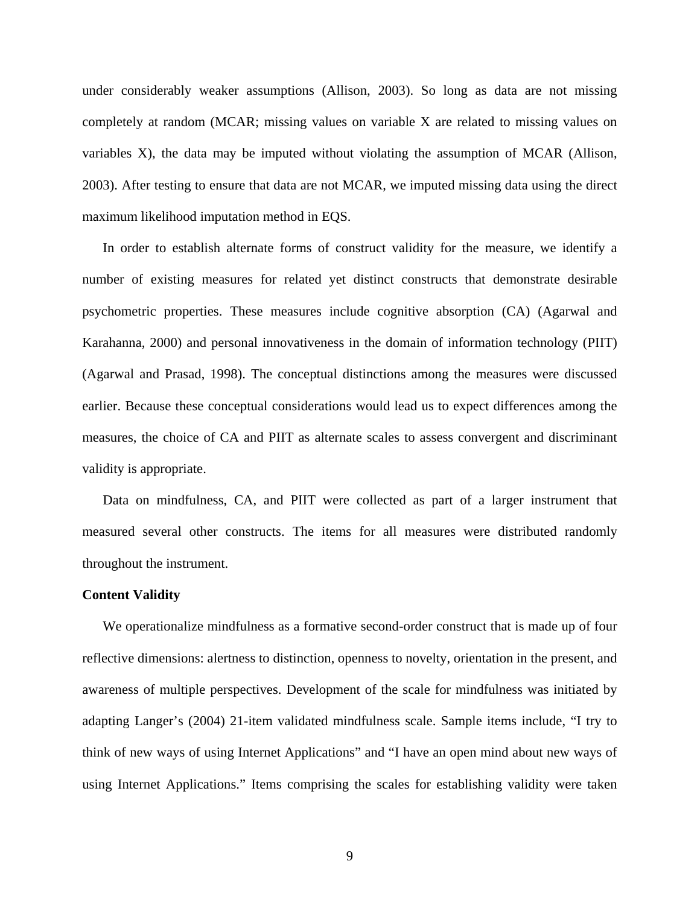under considerably weaker assumptions (Allison, 2003). So long as data are not missing completely at random (MCAR; missing values on variable X are related to missing values on variables X), the data may be imputed without violating the assumption of MCAR (Allison, 2003). After testing to ensure that data are not MCAR, we imputed missing data using the direct maximum likelihood imputation method in EQS.

In order to establish alternate forms of construct validity for the measure, we identify a number of existing measures for related yet distinct constructs that demonstrate desirable psychometric properties. These measures include cognitive absorption (CA) (Agarwal and Karahanna, 2000) and personal innovativeness in the domain of information technology (PIIT) (Agarwal and Prasad, 1998). The conceptual distinctions among the measures were discussed earlier. Because these conceptual considerations would lead us to expect differences among the measures, the choice of CA and PIIT as alternate scales to assess convergent and discriminant validity is appropriate.

Data on mindfulness, CA, and PIIT were collected as part of a larger instrument that measured several other constructs. The items for all measures were distributed randomly throughout the instrument.

#### **Content Validity**

We operationalize mindfulness as a formative second-order construct that is made up of four reflective dimensions: alertness to distinction, openness to novelty, orientation in the present, and awareness of multiple perspectives. Development of the scale for mindfulness was initiated by adapting Langer's (2004) 21-item validated mindfulness scale. Sample items include, "I try to think of new ways of using Internet Applications" and "I have an open mind about new ways of using Internet Applications." Items comprising the scales for establishing validity were taken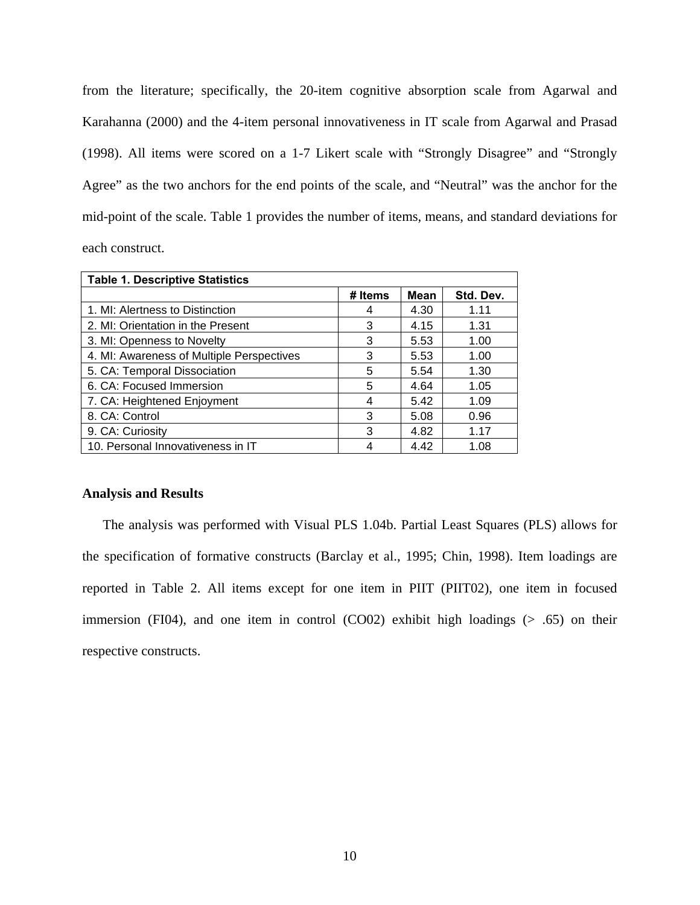from the literature; specifically, the 20-item cognitive absorption scale from Agarwal and Karahanna (2000) and the 4-item personal innovativeness in IT scale from Agarwal and Prasad (1998). All items were scored on a 1-7 Likert scale with "Strongly Disagree" and "Strongly Agree" as the two anchors for the end points of the scale, and "Neutral" was the anchor for the mid-point of the scale. Table 1 provides the number of items, means, and standard deviations for each construct.

| <b>Table 1. Descriptive Statistics</b>    |         |      |           |  |  |  |  |  |
|-------------------------------------------|---------|------|-----------|--|--|--|--|--|
|                                           | # Items | Mean | Std. Dev. |  |  |  |  |  |
| 1. MI: Alertness to Distinction           | 4       | 4.30 | 1.11      |  |  |  |  |  |
| 2. MI: Orientation in the Present         | 3       | 4.15 | 1.31      |  |  |  |  |  |
| 3. MI: Openness to Novelty                | 3       | 5.53 | 1.00      |  |  |  |  |  |
| 4. MI: Awareness of Multiple Perspectives | 3       | 5.53 | 1.00      |  |  |  |  |  |
| 5. CA: Temporal Dissociation              | 5       | 5.54 | 1.30      |  |  |  |  |  |
| 6. CA: Focused Immersion                  | 5       | 4.64 | 1.05      |  |  |  |  |  |
| 7. CA: Heightened Enjoyment               | 4       | 5.42 | 1.09      |  |  |  |  |  |
| 8. CA: Control                            | 3       | 5.08 | 0.96      |  |  |  |  |  |
| 9. CA: Curiosity                          | 3       | 4.82 | 1.17      |  |  |  |  |  |
| 10. Personal Innovativeness in IT         |         | 4.42 | 1.08      |  |  |  |  |  |

#### **Analysis and Results**

The analysis was performed with Visual PLS 1.04b. Partial Least Squares (PLS) allows for the specification of formative constructs (Barclay et al., 1995; Chin, 1998). Item loadings are reported in Table 2. All items except for one item in PIIT (PIIT02), one item in focused immersion (FI04), and one item in control (CO02) exhibit high loadings  $(> .65)$  on their respective constructs.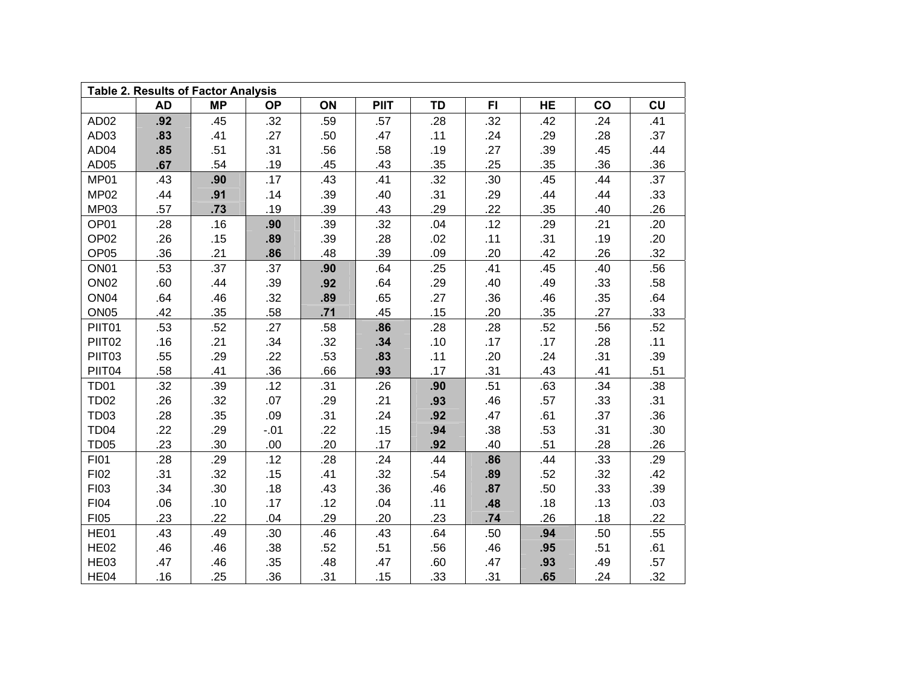| <b>Table 2. Results of Factor Analysis</b> |           |           |           |     |             |           |           |           |     |     |  |
|--------------------------------------------|-----------|-----------|-----------|-----|-------------|-----------|-----------|-----------|-----|-----|--|
|                                            | <b>AD</b> | <b>MP</b> | <b>OP</b> | ON  | <b>PIIT</b> | <b>TD</b> | <b>FI</b> | <b>HE</b> | co  | CU  |  |
| AD <sub>02</sub>                           | .92       | .45       | .32       | .59 | .57         | .28       | .32       | .42       | .24 | .41 |  |
| AD03                                       | .83       | .41       | .27       | .50 | .47         | .11       | .24       | .29       | .28 | .37 |  |
| AD <sub>04</sub>                           | .85       | .51       | .31       | .56 | .58         | .19       | .27       | .39       | .45 | .44 |  |
| AD <sub>05</sub>                           | .67       | .54       | .19       | .45 | .43         | .35       | .25       | .35       | .36 | .36 |  |
| MP01                                       | .43       | .90       | .17       | .43 | .41         | .32       | .30       | .45       | .44 | .37 |  |
| MP02                                       | .44       | .91       | .14       | .39 | .40         | .31       | .29       | .44       | .44 | .33 |  |
| MP03                                       | .57       | .73       | .19       | .39 | .43         | .29       | .22       | .35       | .40 | .26 |  |
| OP01                                       | .28       | .16       | .90       | .39 | .32         | .04       | .12       | .29       | .21 | .20 |  |
| OP <sub>02</sub>                           | .26       | .15       | .89       | .39 | .28         | .02       | .11       | .31       | .19 | .20 |  |
| OP <sub>05</sub>                           | .36       | .21       | .86       | .48 | .39         | .09       | .20       | .42       | .26 | .32 |  |
| ON <sub>01</sub>                           | .53       | .37       | .37       | .90 | .64         | .25       | .41       | .45       | .40 | .56 |  |
| ON <sub>02</sub>                           | .60       | .44       | .39       | .92 | .64         | .29       | .40       | .49       | .33 | .58 |  |
| ON <sub>04</sub>                           | .64       | .46       | .32       | .89 | .65         | .27       | .36       | .46       | .35 | .64 |  |
| ON <sub>05</sub>                           | .42       | .35       | .58       | .71 | .45         | .15       | .20       | .35       | .27 | .33 |  |
| PIIT01                                     | .53       | .52       | .27       | .58 | .86         | .28       | .28       | .52       | .56 | .52 |  |
| PIIT02                                     | .16       | .21       | .34       | .32 | .34         | .10       | .17       | .17       | .28 | .11 |  |
| PIIT03                                     | .55       | .29       | .22       | .53 | .83         | .11       | .20       | .24       | .31 | .39 |  |
| PIIT04                                     | .58       | .41       | .36       | .66 | .93         | .17       | .31       | .43       | .41 | .51 |  |
| <b>TD01</b>                                | .32       | .39       | .12       | .31 | .26         | .90       | .51       | .63       | .34 | .38 |  |
| <b>TD02</b>                                | .26       | .32       | $.07$     | .29 | .21         | .93       | .46       | .57       | .33 | .31 |  |
| <b>TD03</b>                                | .28       | .35       | .09       | .31 | .24         | .92       | .47       | .61       | .37 | .36 |  |
| <b>TD04</b>                                | .22       | .29       | $-.01$    | .22 | .15         | .94       | .38       | .53       | .31 | .30 |  |
| <b>TD05</b>                                | .23       | .30       | .00       | .20 | .17         | .92       | .40       | .51       | .28 | .26 |  |
| FI01                                       | .28       | .29       | .12       | .28 | .24         | .44       | .86       | .44       | .33 | .29 |  |
| FI02                                       | .31       | .32       | .15       | .41 | .32         | .54       | .89       | .52       | .32 | .42 |  |
| FI03                                       | .34       | .30       | .18       | .43 | .36         | .46       | .87       | .50       | .33 | .39 |  |
| FI04                                       | .06       | .10       | .17       | .12 | .04         | .11       | .48       | .18       | .13 | .03 |  |
| <b>FI05</b>                                | .23       | .22       | .04       | .29 | .20         | .23       | .74       | .26       | .18 | .22 |  |
| HE01                                       | .43       | .49       | .30       | .46 | .43         | .64       | .50       | .94       | .50 | .55 |  |
| <b>HE02</b>                                | .46       | .46       | .38       | .52 | .51         | .56       | .46       | .95       | .51 | .61 |  |
| HE03                                       | .47       | .46       | .35       | .48 | .47         | .60       | .47       | .93       | .49 | .57 |  |
| HE04                                       | .16       | .25       | .36       | .31 | .15         | .33       | .31       | .65       | .24 | .32 |  |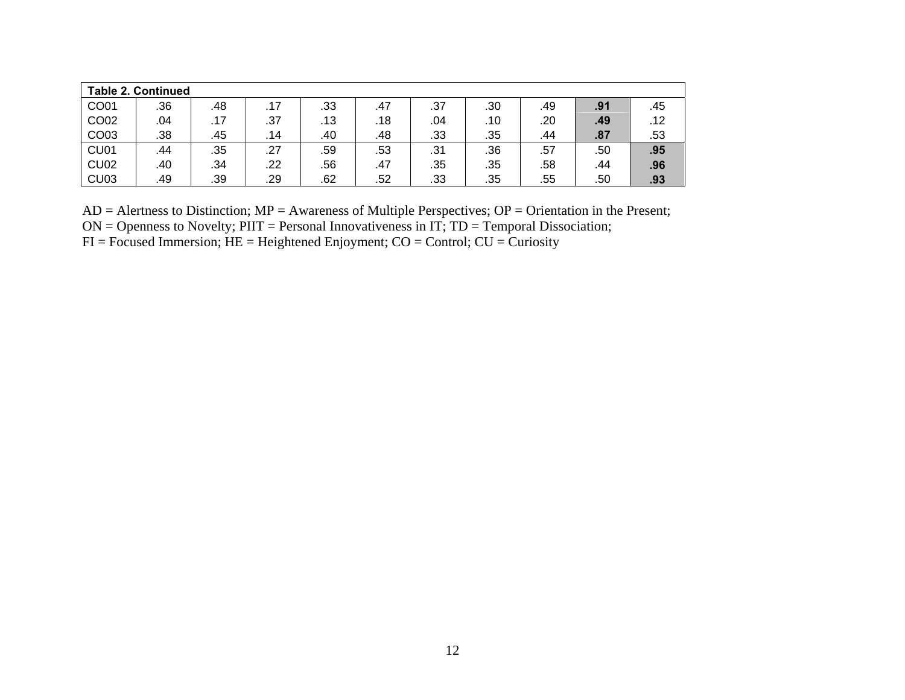| <b>Table 2. Continued</b> |     |     |     |     |     |     |     |     |     |     |
|---------------------------|-----|-----|-----|-----|-----|-----|-----|-----|-----|-----|
| CO01                      | .36 | .48 | .17 | .33 | .47 | .37 | .30 | .49 | .91 | .45 |
| CO02                      | .04 | .17 | .37 | .13 | .18 | .04 | .10 | .20 | .49 | .12 |
| CO03                      | .38 | .45 | .14 | .40 | .48 | .33 | .35 | .44 | .87 | .53 |
| CU <sub>01</sub>          | .44 | .35 | .27 | .59 | .53 | .31 | .36 | .57 | .50 | .95 |
| <b>CU02</b>               | .40 | .34 | .22 | .56 | .47 | .35 | .35 | .58 | .44 | .96 |
| <b>CU03</b>               | .49 | .39 | .29 | .62 | .52 | .33 | .35 | .55 | .50 | .93 |

AD = Alertness to Distinction; MP = Awareness of Multiple Perspectives; OP = Orientation in the Present; ON = Openness to Novelty; PIIT = Personal Innovativeness in IT; TD = Temporal Dissociation;  $FI = Focused$  Immersion;  $HE = Heighened$  Enjoyment;  $CO = Control$ ;  $CU = Curiosity$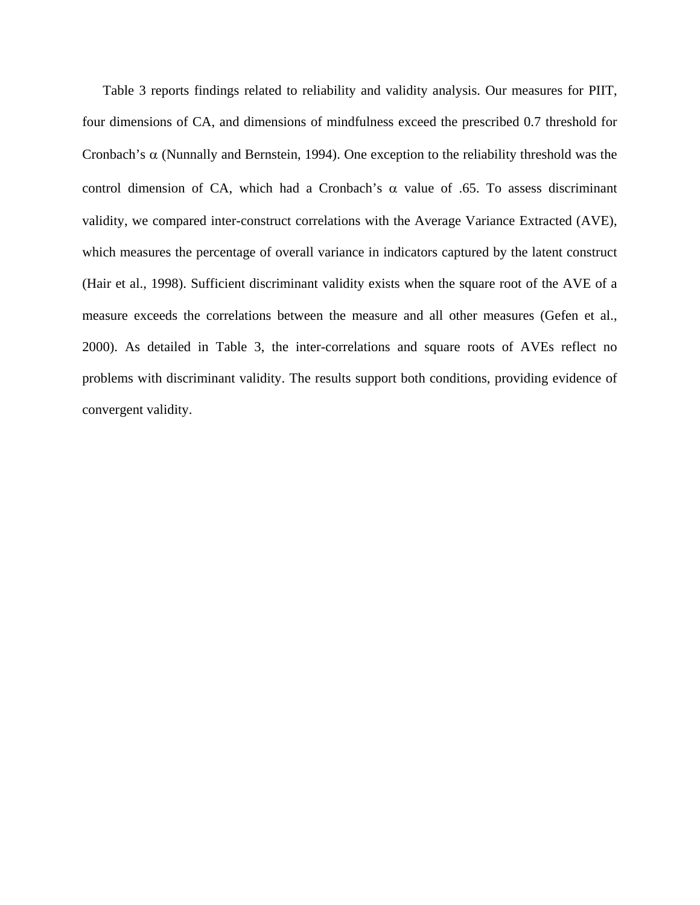Table 3 reports findings related to reliability and validity analysis. Our measures for PIIT, four dimensions of CA, and dimensions of mindfulness exceed the prescribed 0.7 threshold for Cronbach's  $\alpha$  (Nunnally and Bernstein, 1994). One exception to the reliability threshold was the control dimension of CA, which had a Cronbach's  $\alpha$  value of .65. To assess discriminant validity, we compared inter-construct correlations with the Average Variance Extracted (AVE), which measures the percentage of overall variance in indicators captured by the latent construct (Hair et al., 1998). Sufficient discriminant validity exists when the square root of the AVE of a measure exceeds the correlations between the measure and all other measures (Gefen et al., 2000). As detailed in Table 3, the inter-correlations and square roots of AVEs reflect no problems with discriminant validity. The results support both conditions, providing evidence of convergent validity.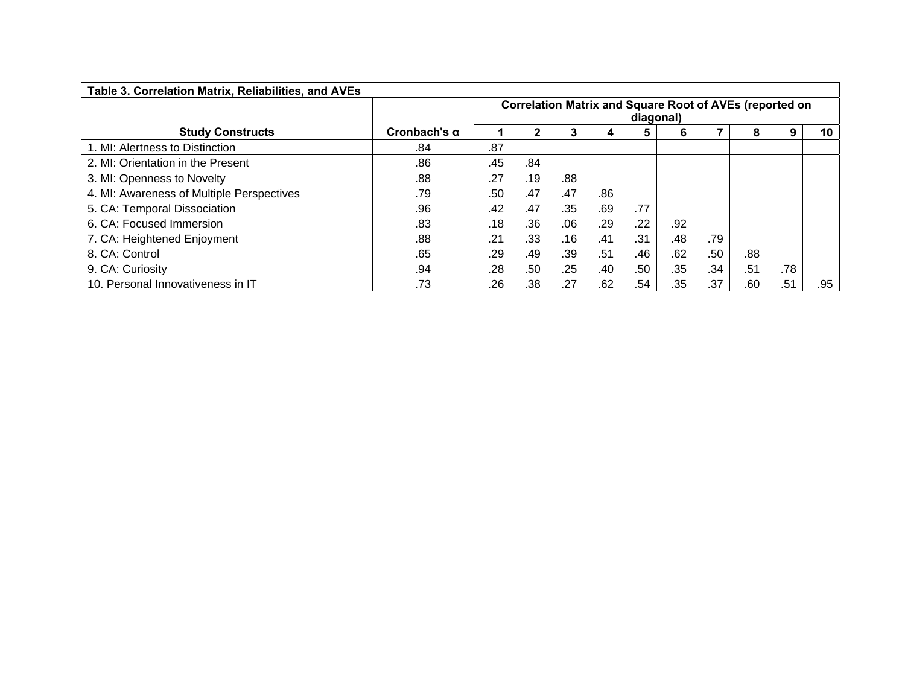| Table 3. Correlation Matrix, Reliabilities, and AVEs |                     |                                                                             |     |     |     |     |     |     |     |     |     |
|------------------------------------------------------|---------------------|-----------------------------------------------------------------------------|-----|-----|-----|-----|-----|-----|-----|-----|-----|
|                                                      |                     | <b>Correlation Matrix and Square Root of AVEs (reported on</b><br>diagonal) |     |     |     |     |     |     |     |     |     |
| <b>Study Constructs</b>                              | Cronbach's $\alpha$ |                                                                             |     | 3   | 4   | 5   | 6   |     | 8   | 9   | 10  |
| 1. MI: Alertness to Distinction                      | .84                 | .87                                                                         |     |     |     |     |     |     |     |     |     |
| 2. MI: Orientation in the Present                    | .86                 | .45                                                                         | .84 |     |     |     |     |     |     |     |     |
| 3. MI: Openness to Novelty                           | .88                 | .27                                                                         | .19 | .88 |     |     |     |     |     |     |     |
| 4. MI: Awareness of Multiple Perspectives            | .79                 | .50                                                                         | .47 | .47 | .86 |     |     |     |     |     |     |
| 5. CA: Temporal Dissociation                         | .96                 | .42                                                                         | .47 | .35 | .69 | .77 |     |     |     |     |     |
| 6. CA: Focused Immersion                             | .83                 | .18                                                                         | .36 | .06 | .29 | .22 | .92 |     |     |     |     |
| 7. CA: Heightened Enjoyment                          | .88                 | .21                                                                         | .33 | .16 | .41 | .31 | .48 | .79 |     |     |     |
| 8. CA: Control                                       | .65                 | .29                                                                         | .49 | .39 | .51 | .46 | .62 | .50 | .88 |     |     |
| 9. CA: Curiosity                                     | .94                 | .28                                                                         | .50 | .25 | .40 | .50 | .35 | .34 | .51 | .78 |     |
| 10. Personal Innovativeness in IT                    | .73                 | .26                                                                         | .38 | .27 | .62 | .54 | .35 | .37 | .60 | .51 | .95 |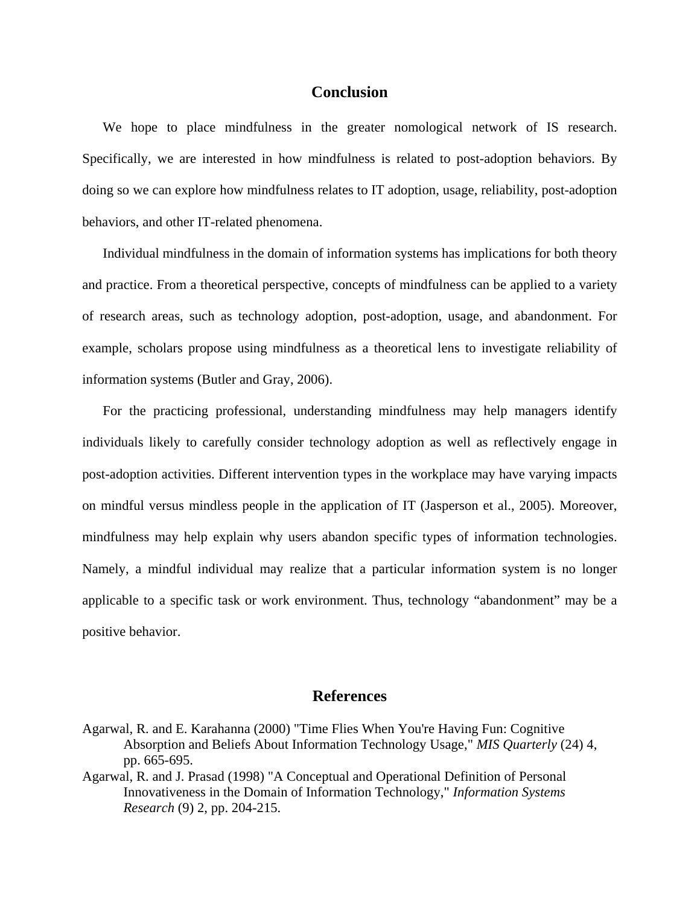## **Conclusion**

We hope to place mindfulness in the greater nomological network of IS research. Specifically, we are interested in how mindfulness is related to post-adoption behaviors. By doing so we can explore how mindfulness relates to IT adoption, usage, reliability, post-adoption behaviors, and other IT-related phenomena.

Individual mindfulness in the domain of information systems has implications for both theory and practice. From a theoretical perspective, concepts of mindfulness can be applied to a variety of research areas, such as technology adoption, post-adoption, usage, and abandonment. For example, scholars propose using mindfulness as a theoretical lens to investigate reliability of information systems (Butler and Gray, 2006).

For the practicing professional, understanding mindfulness may help managers identify individuals likely to carefully consider technology adoption as well as reflectively engage in post-adoption activities. Different intervention types in the workplace may have varying impacts on mindful versus mindless people in the application of IT (Jasperson et al., 2005). Moreover, mindfulness may help explain why users abandon specific types of information technologies. Namely, a mindful individual may realize that a particular information system is no longer applicable to a specific task or work environment. Thus, technology "abandonment" may be a positive behavior.

# **References**

- Agarwal, R. and E. Karahanna (2000) "Time Flies When You're Having Fun: Cognitive Absorption and Beliefs About Information Technology Usage," *MIS Quarterly* (24) 4, pp. 665-695.
- Agarwal, R. and J. Prasad (1998) "A Conceptual and Operational Definition of Personal Innovativeness in the Domain of Information Technology," *Information Systems Research* (9) 2, pp. 204-215.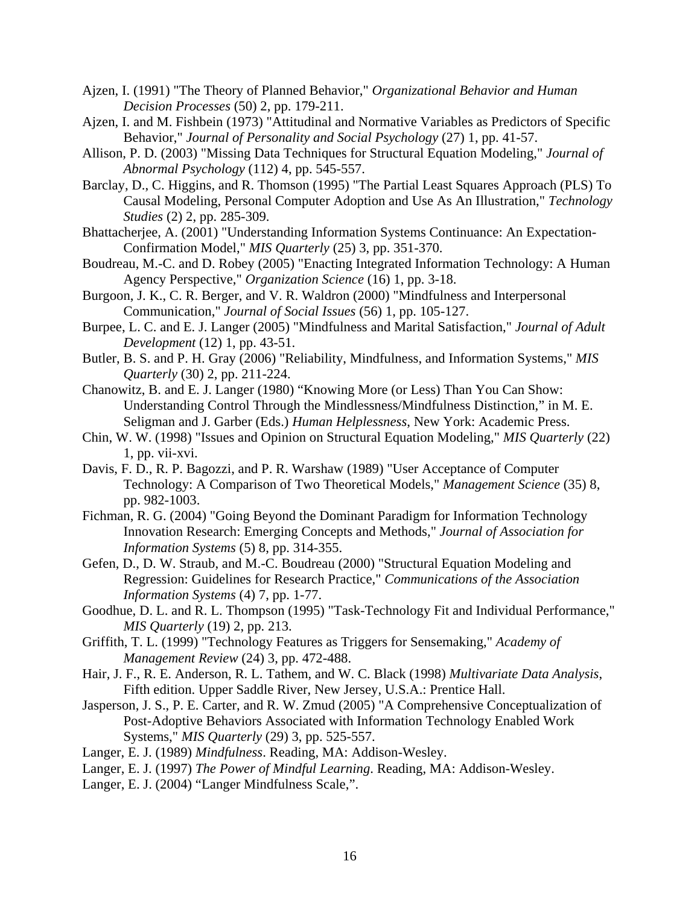- Ajzen, I. (1991) "The Theory of Planned Behavior," *Organizational Behavior and Human Decision Processes* (50) 2, pp. 179-211.
- Ajzen, I. and M. Fishbein (1973) "Attitudinal and Normative Variables as Predictors of Specific Behavior," *Journal of Personality and Social Psychology* (27) 1, pp. 41-57.
- Allison, P. D. (2003) "Missing Data Techniques for Structural Equation Modeling," *Journal of Abnormal Psychology* (112) 4, pp. 545-557.
- Barclay, D., C. Higgins, and R. Thomson (1995) "The Partial Least Squares Approach (PLS) To Causal Modeling, Personal Computer Adoption and Use As An Illustration," *Technology Studies* (2) 2, pp. 285-309.
- Bhattacherjee, A. (2001) "Understanding Information Systems Continuance: An Expectation-Confirmation Model," *MIS Quarterly* (25) 3, pp. 351-370.
- Boudreau, M.-C. and D. Robey (2005) "Enacting Integrated Information Technology: A Human Agency Perspective," *Organization Science* (16) 1, pp. 3-18.
- Burgoon, J. K., C. R. Berger, and V. R. Waldron (2000) "Mindfulness and Interpersonal Communication," *Journal of Social Issues* (56) 1, pp. 105-127.
- Burpee, L. C. and E. J. Langer (2005) "Mindfulness and Marital Satisfaction," *Journal of Adult Development* (12) 1, pp. 43-51.
- Butler, B. S. and P. H. Gray (2006) "Reliability, Mindfulness, and Information Systems," *MIS Quarterly* (30) 2, pp. 211-224.
- Chanowitz, B. and E. J. Langer (1980) "Knowing More (or Less) Than You Can Show: Understanding Control Through the Mindlessness/Mindfulness Distinction," in M. E. Seligman and J. Garber (Eds.) *Human Helplessness*, New York: Academic Press.
- Chin, W. W. (1998) "Issues and Opinion on Structural Equation Modeling," *MIS Quarterly* (22) 1, pp. vii-xvi.
- Davis, F. D., R. P. Bagozzi, and P. R. Warshaw (1989) "User Acceptance of Computer Technology: A Comparison of Two Theoretical Models," *Management Science* (35) 8, pp. 982-1003.
- Fichman, R. G. (2004) "Going Beyond the Dominant Paradigm for Information Technology Innovation Research: Emerging Concepts and Methods," *Journal of Association for Information Systems* (5) 8, pp. 314-355.
- Gefen, D., D. W. Straub, and M.-C. Boudreau (2000) "Structural Equation Modeling and Regression: Guidelines for Research Practice," *Communications of the Association Information Systems* (4) 7, pp. 1-77.
- Goodhue, D. L. and R. L. Thompson (1995) "Task-Technology Fit and Individual Performance," *MIS Quarterly* (19) 2, pp. 213.
- Griffith, T. L. (1999) "Technology Features as Triggers for Sensemaking," *Academy of Management Review* (24) 3, pp. 472-488.
- Hair, J. F., R. E. Anderson, R. L. Tathem, and W. C. Black (1998) *Multivariate Data Analysis*, Fifth edition. Upper Saddle River, New Jersey, U.S.A.: Prentice Hall.
- Jasperson, J. S., P. E. Carter, and R. W. Zmud (2005) "A Comprehensive Conceptualization of Post-Adoptive Behaviors Associated with Information Technology Enabled Work Systems," *MIS Quarterly* (29) 3, pp. 525-557.
- Langer, E. J. (1989) *Mindfulness*. Reading, MA: Addison-Wesley.
- Langer, E. J. (1997) *The Power of Mindful Learning*. Reading, MA: Addison-Wesley.
- Langer, E. J. (2004) "Langer Mindfulness Scale,".